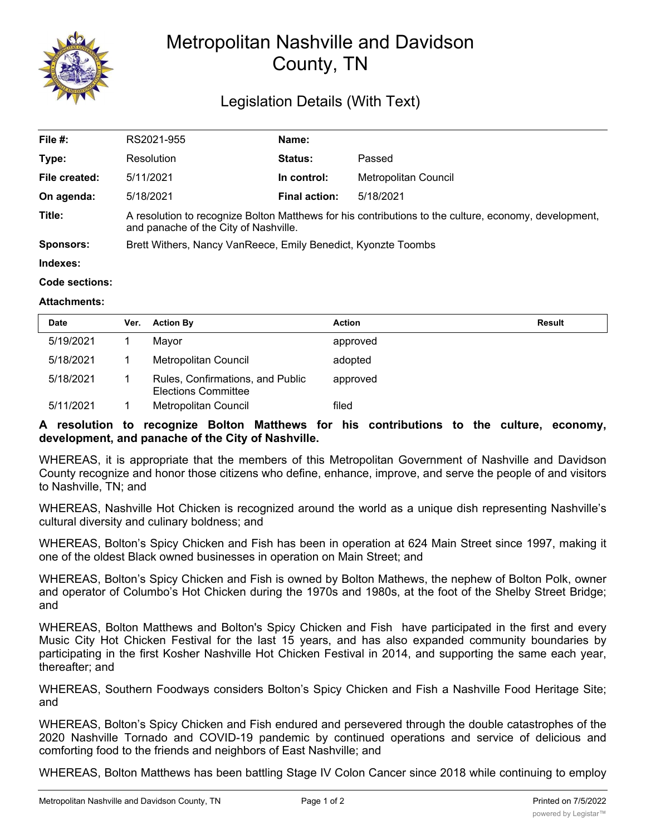

## Metropolitan Nashville and Davidson County, TN

## Legislation Details (With Text)

| File #:          | RS2021-955                                                                                                                                     | Name:                |                      |  |  |
|------------------|------------------------------------------------------------------------------------------------------------------------------------------------|----------------------|----------------------|--|--|
| Type:            | Resolution                                                                                                                                     | <b>Status:</b>       | Passed               |  |  |
| File created:    | 5/11/2021                                                                                                                                      | In control:          | Metropolitan Council |  |  |
| On agenda:       | 5/18/2021                                                                                                                                      | <b>Final action:</b> | 5/18/2021            |  |  |
| Title:           | A resolution to recognize Bolton Matthews for his contributions to the culture, economy, development,<br>and panache of the City of Nashville. |                      |                      |  |  |
| <b>Sponsors:</b> | Brett Withers, Nancy VanReece, Emily Benedict, Kyonzte Toombs                                                                                  |                      |                      |  |  |
| Indexes:         |                                                                                                                                                |                      |                      |  |  |
| Code sections:   |                                                                                                                                                |                      |                      |  |  |

## **Attachments:**

| <b>Date</b> | Ver. | <b>Action By</b>                                               | <b>Action</b> | Result |
|-------------|------|----------------------------------------------------------------|---------------|--------|
| 5/19/2021   |      | Mavor                                                          | approved      |        |
| 5/18/2021   |      | Metropolitan Council                                           | adopted       |        |
| 5/18/2021   |      | Rules, Confirmations, and Public<br><b>Elections Committee</b> | approved      |        |
| 5/11/2021   |      | Metropolitan Council                                           | filed         |        |

## **A resolution to recognize Bolton Matthews for his contributions to the culture, economy, development, and panache of the City of Nashville.**

WHEREAS, it is appropriate that the members of this Metropolitan Government of Nashville and Davidson County recognize and honor those citizens who define, enhance, improve, and serve the people of and visitors to Nashville, TN; and

WHEREAS, Nashville Hot Chicken is recognized around the world as a unique dish representing Nashville's cultural diversity and culinary boldness; and

WHEREAS, Bolton's Spicy Chicken and Fish has been in operation at 624 Main Street since 1997, making it one of the oldest Black owned businesses in operation on Main Street; and

WHEREAS, Bolton's Spicy Chicken and Fish is owned by Bolton Mathews, the nephew of Bolton Polk, owner and operator of Columbo's Hot Chicken during the 1970s and 1980s, at the foot of the Shelby Street Bridge; and

WHEREAS, Bolton Matthews and Bolton's Spicy Chicken and Fish have participated in the first and every Music City Hot Chicken Festival for the last 15 years, and has also expanded community boundaries by participating in the first Kosher Nashville Hot Chicken Festival in 2014, and supporting the same each year, thereafter; and

WHEREAS, Southern Foodways considers Bolton's Spicy Chicken and Fish a Nashville Food Heritage Site; and

WHEREAS, Bolton's Spicy Chicken and Fish endured and persevered through the double catastrophes of the 2020 Nashville Tornado and COVID-19 pandemic by continued operations and service of delicious and comforting food to the friends and neighbors of East Nashville; and

WHEREAS, Bolton Matthews has been battling Stage IV Colon Cancer since 2018 while continuing to employ